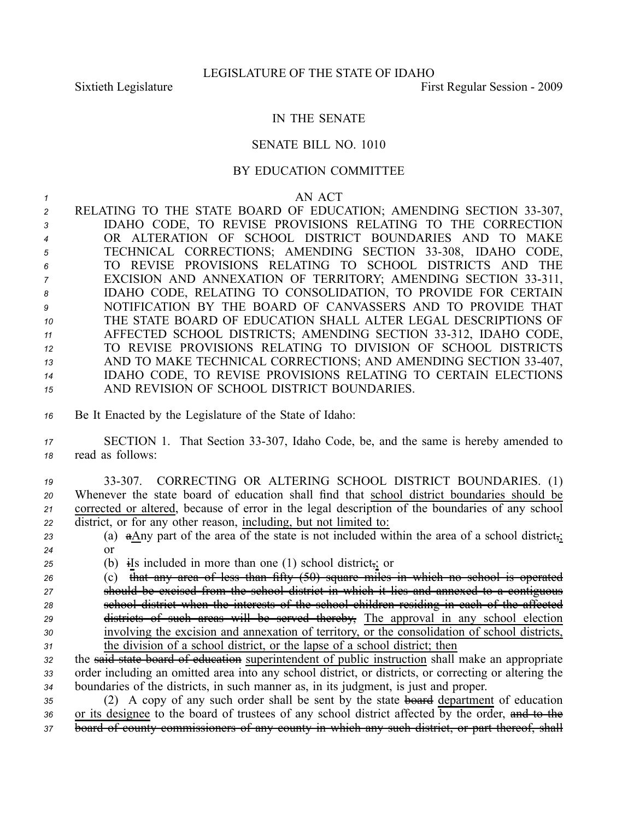## IN THE SENATE

## SENATE BILL NO. 1010

## BY EDUCATION COMMITTEE

## *1* AN ACT

2 RELATING TO THE STATE BOARD OF EDUCATION; AMENDING SECTION 33-307, IDAHO CODE, TO REVISE PROVISIONS RELATING TO THE CORRECTION OR ALTERATION OF SCHOOL DISTRICT BOUNDARIES AND TO MAKE 5 TECHNICAL CORRECTIONS; AMENDING SECTION 33-308, IDAHO CODE, TO REVISE PROVISIONS RELATING TO SCHOOL DISTRICTS AND THE <sup>7</sup> EXCISION AND ANNEXATION OF TERRITORY; AMENDING SECTION 33-311, IDAHO CODE, RELATING TO CONSOLIDATION, TO PROVIDE FOR CERTAIN NOTIFICATION BY THE BOARD OF CANVASSERS AND TO PROVIDE THAT THE STATE BOARD OF EDUCATION SHALL ALTER LEGAL DESCRIPTIONS OF 11 AFFECTED SCHOOL DISTRICTS; AMENDING SECTION 33-312, IDAHO CODE, TO REVISE PROVISIONS RELATING TO DIVISION OF SCHOOL DISTRICTS 13 AND TO MAKE TECHNICAL CORRECTIONS; AND AMENDING SECTION 33-407, IDAHO CODE, TO REVISE PROVISIONS RELATING TO CERTAIN ELECTIONS AND REVISION OF SCHOOL DISTRICT BOUNDARIES.

- *<sup>16</sup>* Be It Enacted by the Legislature of the State of Idaho:
- 17 SECTION 1. That Section 33-307, Idaho Code, be, and the same is hereby amended to *<sup>18</sup>* read as follows:

 33307. CORRECTING OR ALTERING SCHOOL DISTRICT BOUNDARIES. (1) Whenever the state board of education shall find that school district boundaries should be corrected or altered, because of error in the legal description of the boundaries of any school district, or for any other reason, including, but not limited to:

*<sup>23</sup>* (a) aAny par<sup>t</sup> of the area of the state is not included within the area of <sup>a</sup> school district,; *24* or

*<sup>25</sup>* (b) iIs included in more than one (1) school district,; or

 (c) that any area of less than fifty (50) square miles in which no school is operated should be excised from the school district in which it lies and annexed to <sup>a</sup> contiguous school district when the interests of the school children residing in each of the affected districts of such areas will be served thereby, The approval in any school election involving the excision and annexation of territory, or the consolidation of school districts, the division of <sup>a</sup> school district, or the lapse of <sup>a</sup> school district; then

*<sup>32</sup>* the said state board of education superintendent of public instruction shall make an appropriate *<sup>33</sup>* order including an omitted area into any school district, or districts, or correcting or altering the *<sup>34</sup>* boundaries of the districts, in such manner as, in its judgment, is just and proper.

*<sup>35</sup>* (2) A copy of any such order shall be sent by the state board department of education *<sup>36</sup>* or its designee to the board of trustees of any school district affected by the order, and to the *<sup>37</sup>* board of county commissioners of any county in which any such district, or par<sup>t</sup> thereof, shall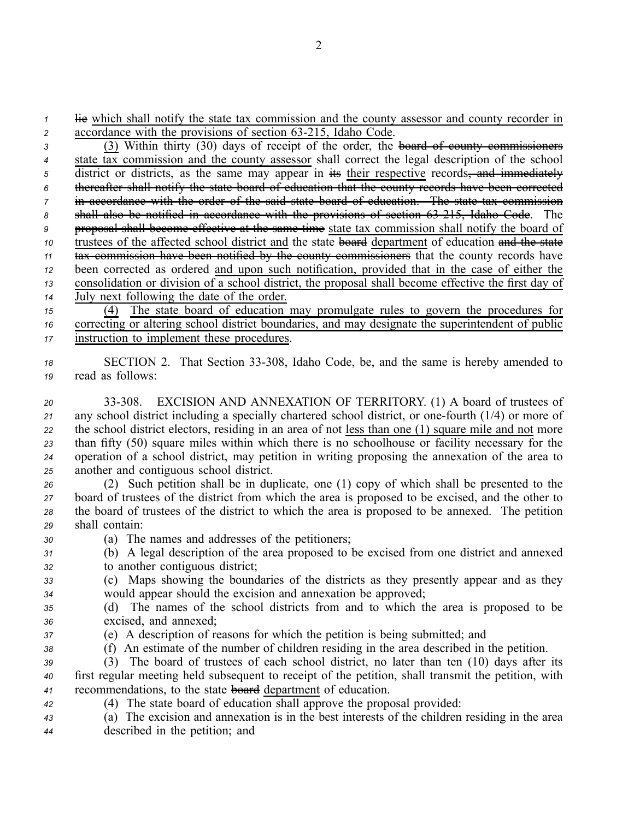*1* lie which shall notify the state tax commission and the county assessor and county recorder in 2 accordance with the provisions of section 63-215, Idaho Code.

 (3) Within thirty (30) days of receipt of the order, the board of county commissioners state tax commission and the county assessor shall correct the legal description of the school <sup>5</sup> district or districts, as the same may appear in its their respective records<del>, and immediately</del> thereafter shall notify the state board of education that the county records have been corrected in accordance with the order of the said state board of education. The state tax commission 8 shall also be notified in accordance with the provisions of section 63-215, Idaho Code. The proposal shall become effective at the same time state tax commission shall notify the board of trustees of the affected school district and the state board department of education and the state tax commission have been notified by the county commissioners that the county records have been corrected as ordered and upon such notification, provided that in the case of either the consolidation or division of <sup>a</sup> school district, the proposal shall become effective the first day of July next following the date of the order. (4) The state board of education may promulgate rules to govern the procedures for

*<sup>16</sup>* correcting or altering school district boundaries, and may designate the superintendent of public *<sup>17</sup>* instruction to implement these procedures.

18 SECTION 2. That Section 33-308, Idaho Code, be, and the same is hereby amended to *<sup>19</sup>* read as follows:

 33308. EXCISION AND ANNEXATION OF TERRITORY. (1) A board of trustees of 21 any school district including a specially chartered school district, or one-fourth (1/4) or more of the school district electors, residing in an area of not less than one (1) square mile and not more than fifty (50) square miles within which there is no schoolhouse or facility necessary for the operation of <sup>a</sup> school district, may petition in writing proposing the annexation of the area to another and contiguous school district.

 (2) Such petition shall be in duplicate, one (1) copy of which shall be presented to the board of trustees of the district from which the area is proposed to be excised, and the other to the board of trustees of the district to which the area is proposed to be annexed. The petition shall contain:

- *<sup>30</sup>* (a) The names and addresses of the petitioners;
- *<sup>31</sup>* (b) A legal description of the area proposed to be excised from one district and annexed *<sup>32</sup>* to another contiguous district;

*<sup>33</sup>* (c) Maps showing the boundaries of the districts as they presently appear and as they *<sup>34</sup>* would appear should the excision and annexation be approved;

- *<sup>35</sup>* (d) The names of the school districts from and to which the area is proposed to be *<sup>36</sup>* excised, and annexed;
- 
- *<sup>37</sup>* (e) A description of reasons for which the petition is being submitted; and
- 

*<sup>38</sup>* (f) An estimate of the number of children residing in the area described in the petition.

*<sup>39</sup>* (3) The board of trustees of each school district, no later than ten (10) days after its *<sup>40</sup>* first regular meeting held subsequent to receipt of the petition, shall transmit the petition, with *<sup>41</sup>* recommendations, to the state board department of education.

- *<sup>42</sup>* (4) The state board of education shall approve the proposal provided:
- *<sup>43</sup>* (a) The excision and annexation is in the best interests of the children residing in the area *<sup>44</sup>* described in the petition; and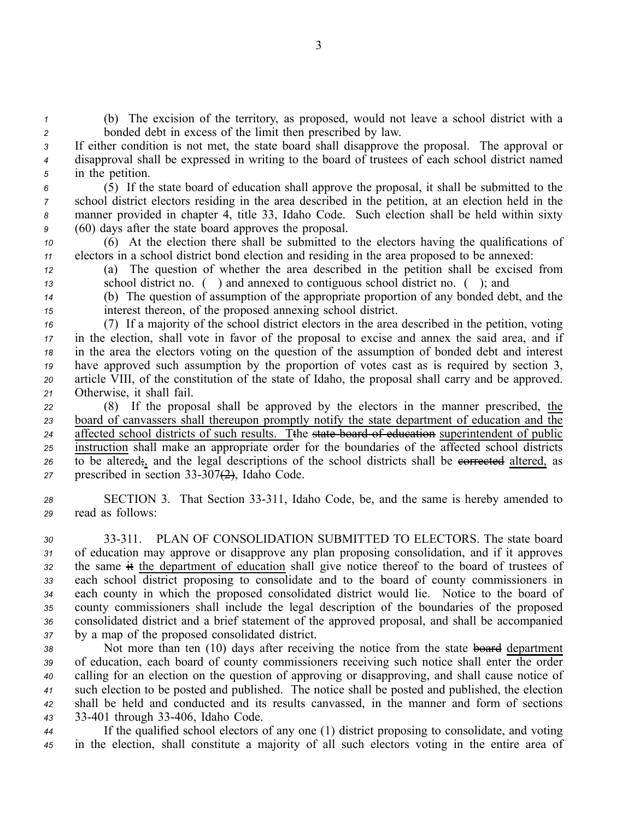*<sup>1</sup>* (b) The excision of the territory, as proposed, would not leave <sup>a</sup> school district with <sup>a</sup> *<sup>2</sup>* bonded debt in excess of the limit then prescribed by law.

*<sup>3</sup>* If either condition is not met, the state board shall disapprove the proposal. The approval or *<sup>4</sup>* disapproval shall be expressed in writing to the board of trustees of each school district named *<sup>5</sup>* in the petition.

 (5) If the state board of education shall approve the proposal, it shall be submitted to the school district electors residing in the area described in the petition, at an election held in the manner provided in chapter 4, title 33, Idaho Code. Such election shall be held within sixty (60) days after the state board approves the proposal.

*<sup>10</sup>* (6) At the election there shall be submitted to the electors having the qualifications of *<sup>11</sup>* electors in <sup>a</sup> school district bond election and residing in the area proposed to be annexed:

*<sup>12</sup>* (a) The question of whether the area described in the petition shall be excised from *<sup>13</sup>* school district no. ( ) and annexed to contiguous school district no. ( ); and

*<sup>14</sup>* (b) The question of assumption of the appropriate proportion of any bonded debt, and the *<sup>15</sup>* interest thereon, of the proposed annexing school district.

 (7) If <sup>a</sup> majority of the school district electors in the area described in the petition, voting in the election, shall vote in favor of the proposal to excise and annex the said area, and if in the area the electors voting on the question of the assumption of bonded debt and interest have approved such assumption by the proportion of votes cast as is required by section 3, article VIII, of the constitution of the state of Idaho, the proposal shall carry and be approved. Otherwise, it shall fail.

 (8) If the proposal shall be approved by the electors in the manner prescribed, the board of canvassers shall thereupon promptly notify the state department of education and the 24 affected school districts of such results. Tthe state board of education superintendent of public instruction shall make an appropriate order for the boundaries of the affected school districts 26 to be altered;, and the legal descriptions of the school districts shall be everve the altered, as prescribed in section  $33-307(2)$ , Idaho Code.

28 SECTION 3. That Section 33-311, Idaho Code, be, and the same is hereby amended to *<sup>29</sup>* read as follows:

 33311. PLAN OF CONSOLIDATION SUBMITTED TO ELECTORS. The state board of education may approve or disapprove any plan proposing consolidation, and if it approves the same it the department of education shall give notice thereof to the board of trustees of each school district proposing to consolidate and to the board of county commissioners in each county in which the proposed consolidated district would lie. Notice to the board of county commissioners shall include the legal description of the boundaries of the proposed consolidated district and <sup>a</sup> brief statement of the approved proposal, and shall be accompanied by <sup>a</sup> map of the proposed consolidated district.

 Not more than ten (10) days after receiving the notice from the state board department of education, each board of county commissioners receiving such notice shall enter the order calling for an election on the question of approving or disapproving, and shall cause notice of such election to be posted and published. The notice shall be posted and published, the election shall be held and conducted and its results canvassed, in the manner and form of sections 33401 through 33406, Idaho Code.

*<sup>44</sup>* If the qualified school electors of any one (1) district proposing to consolidate, and voting *<sup>45</sup>* in the election, shall constitute <sup>a</sup> majority of all such electors voting in the entire area of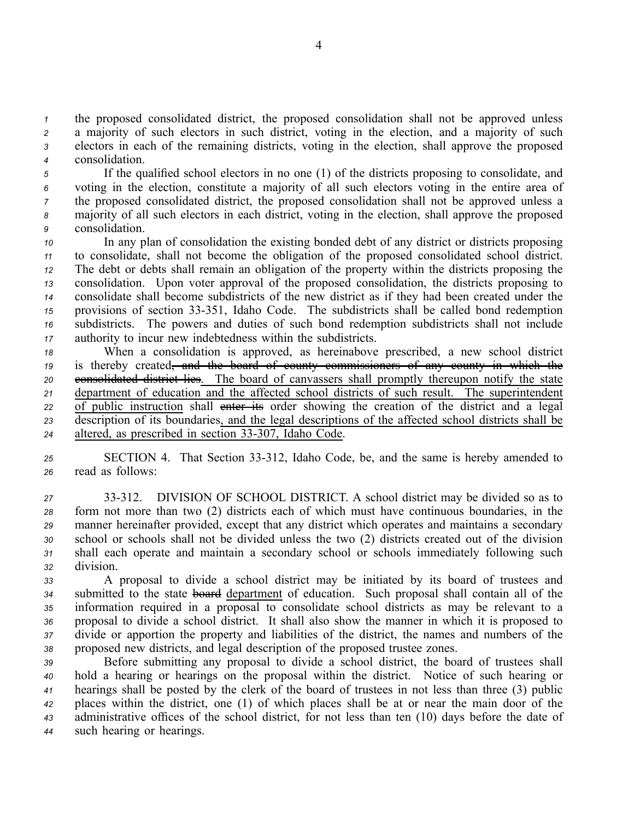the proposed consolidated district, the proposed consolidation shall not be approved unless <sup>a</sup> majority of such electors in such district, voting in the election, and <sup>a</sup> majority of such electors in each of the remaining districts, voting in the election, shall approve the proposed consolidation.

 If the qualified school electors in no one (1) of the districts proposing to consolidate, and voting in the election, constitute <sup>a</sup> majority of all such electors voting in the entire area of the proposed consolidated district, the proposed consolidation shall not be approved unless <sup>a</sup> majority of all such electors in each district, voting in the election, shall approve the proposed consolidation.

 In any plan of consolidation the existing bonded debt of any district or districts proposing to consolidate, shall not become the obligation of the proposed consolidated school district. The debt or debts shall remain an obligation of the property within the districts proposing the consolidation. Upon voter approval of the proposed consolidation, the districts proposing to consolidate shall become subdistricts of the new district as if they had been created under the provisions of section 33351, Idaho Code. The subdistricts shall be called bond redemption subdistricts. The powers and duties of such bond redemption subdistricts shall not include authority to incur new indebtedness within the subdistricts.

 When <sup>a</sup> consolidation is approved, as hereinabove prescribed, <sup>a</sup> new school district is thereby created, and the board of county commissioners of any county in which the **consolidated district lies**. The board of canvassers shall promptly thereupon notify the state department of education and the affected school districts of such result. The superintendent 22 of public instruction shall enter its order showing the creation of the district and a legal description of its boundaries, and the legal descriptions of the affected school districts shall be 24 altered, as prescribed in section 33-307, Idaho Code.

*<sup>25</sup>* SECTION 4. That Section 33312, Idaho Code, be, and the same is hereby amended to *<sup>26</sup>* read as follows:

 33312. DIVISION OF SCHOOL DISTRICT. A school district may be divided so as to form not more than two (2) districts each of which must have continuous boundaries, in the manner hereinafter provided, excep<sup>t</sup> that any district which operates and maintains <sup>a</sup> secondary school or schools shall not be divided unless the two (2) districts created out of the division shall each operate and maintain <sup>a</sup> secondary school or schools immediately following such division.

 A proposal to divide <sup>a</sup> school district may be initiated by its board of trustees and submitted to the state board department of education. Such proposal shall contain all of the information required in <sup>a</sup> proposal to consolidate school districts as may be relevant to <sup>a</sup> proposal to divide <sup>a</sup> school district. It shall also show the manner in which it is proposed to divide or apportion the property and liabilities of the district, the names and numbers of the proposed new districts, and legal description of the proposed trustee zones.

 Before submitting any proposal to divide <sup>a</sup> school district, the board of trustees shall hold <sup>a</sup> hearing or hearings on the proposal within the district. Notice of such hearing or hearings shall be posted by the clerk of the board of trustees in not less than three (3) public places within the district, one (1) of which places shall be at or near the main door of the administrative offices of the school district, for not less than ten (10) days before the date of such hearing or hearings.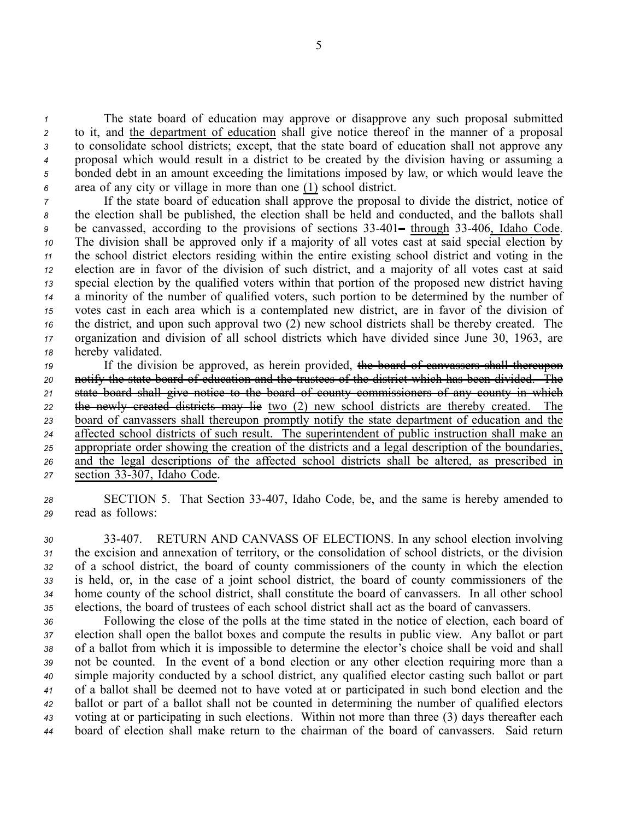The state board of education may approve or disapprove any such proposal submitted to it, and the department of education shall give notice thereof in the manner of <sup>a</sup> proposal to consolidate school districts; except, that the state board of education shall not approve any proposal which would result in <sup>a</sup> district to be created by the division having or assuming <sup>a</sup> bonded debt in an amount exceeding the limitations imposed by law, or which would leave the area of any city or village in more than one (1) school district.

 If the state board of education shall approve the proposal to divide the district, notice of the election shall be published, the election shall be held and conducted, and the ballots shall be canvassed, according to the provisions of sections 33401– through 33406, Idaho Code. The division shall be approved only if <sup>a</sup> majority of all votes cast at said special election by the school district electors residing within the entire existing school district and voting in the election are in favor of the division of such district, and <sup>a</sup> majority of all votes cast at said special election by the qualified voters within that portion of the proposed new district having <sup>a</sup> minority of the number of qualified voters, such portion to be determined by the number of votes cast in each area which is <sup>a</sup> contemplated new district, are in favor of the division of the district, and upon such approval two (2) new school districts shall be thereby created. The organization and division of all school districts which have divided since June 30, 1963, are hereby validated.

19 If the division be approved, as herein provided, the board of canvassers shall thereupon notify the state board of education and the trustees of the district which has been divided. The state board shall give notice to the board of county commissioners of any county in which the newly created districts may lie two (2) new school districts are thereby created. The board of canvassers shall thereupon promptly notify the state department of education and the affected school districts of such result. The superintendent of public instruction shall make an appropriate order showing the creation of the districts and <sup>a</sup> legal description of the boundaries, and the legal descriptions of the affected school districts shall be altered, as prescribed in 27 section 33-307, Idaho Code.

*<sup>28</sup>* SECTION 5. That Section 33407, Idaho Code, be, and the same is hereby amended to *<sup>29</sup>* read as follows:

 33407. RETURN AND CANVASS OF ELECTIONS. In any school election involving the excision and annexation of territory, or the consolidation of school districts, or the division of <sup>a</sup> school district, the board of county commissioners of the county in which the election is held, or, in the case of <sup>a</sup> joint school district, the board of county commissioners of the home county of the school district, shall constitute the board of canvassers. In all other school elections, the board of trustees of each school district shall act as the board of canvassers.

 Following the close of the polls at the time stated in the notice of election, each board of election shall open the ballot boxes and compute the results in public view. Any ballot or par<sup>t</sup> of <sup>a</sup> ballot from which it is impossible to determine the elector's choice shall be void and shall not be counted. In the event of <sup>a</sup> bond election or any other election requiring more than <sup>a</sup> simple majority conducted by <sup>a</sup> school district, any qualified elector casting such ballot or par<sup>t</sup> of <sup>a</sup> ballot shall be deemed not to have voted at or participated in such bond election and the ballot or par<sup>t</sup> of <sup>a</sup> ballot shall not be counted in determining the number of qualified electors voting at or participating in such elections. Within not more than three (3) days thereafter each board of election shall make return to the chairman of the board of canvassers. Said return